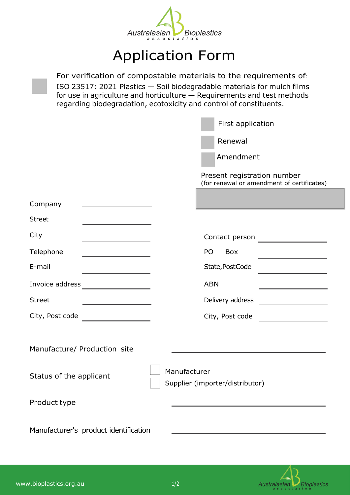

## Application Form

For verification of compostable materials to the requirements of: ISO 23517: 2021 Plastics — Soil biodegradable materials for mulch films for use in agriculture and horticulture — Requirements and test methods regarding biodegradation, ecotoxicity and control of constituents.

|                                                                            | First application                                                         |  |  |  |  |  |
|----------------------------------------------------------------------------|---------------------------------------------------------------------------|--|--|--|--|--|
|                                                                            | Renewal                                                                   |  |  |  |  |  |
|                                                                            | Amendment                                                                 |  |  |  |  |  |
|                                                                            | Present registration number<br>(for renewal or amendment of certificates) |  |  |  |  |  |
| Company                                                                    |                                                                           |  |  |  |  |  |
| <b>Street</b>                                                              |                                                                           |  |  |  |  |  |
| City                                                                       | Contact person                                                            |  |  |  |  |  |
| Telephone                                                                  | PO<br>Box                                                                 |  |  |  |  |  |
| E-mail                                                                     | State, PostCode                                                           |  |  |  |  |  |
| Invoice address                                                            | <b>ABN</b>                                                                |  |  |  |  |  |
| <b>Street</b>                                                              | Delivery address                                                          |  |  |  |  |  |
| City, Post code                                                            | City, Post code                                                           |  |  |  |  |  |
|                                                                            |                                                                           |  |  |  |  |  |
| Manufacture/ Production site                                               |                                                                           |  |  |  |  |  |
| Manufacturer<br>Status of the applicant<br>Supplier (importer/distributor) |                                                                           |  |  |  |  |  |
| Product type                                                               |                                                                           |  |  |  |  |  |
| Manufacturer's product identification                                      |                                                                           |  |  |  |  |  |